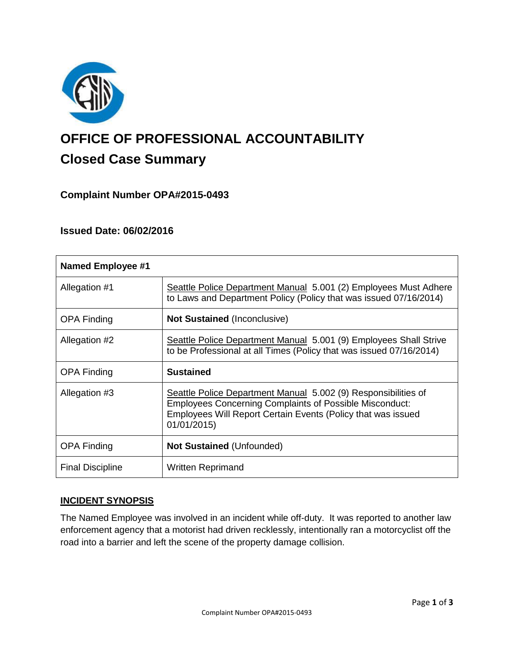

# **OFFICE OF PROFESSIONAL ACCOUNTABILITY Closed Case Summary**

# **Complaint Number OPA#2015-0493**

# **Issued Date: 06/02/2016**

| <b>Named Employee #1</b> |                                                                                                                                                                                                                 |
|--------------------------|-----------------------------------------------------------------------------------------------------------------------------------------------------------------------------------------------------------------|
| Allegation #1            | Seattle Police Department Manual 5.001 (2) Employees Must Adhere<br>to Laws and Department Policy (Policy that was issued 07/16/2014)                                                                           |
| <b>OPA Finding</b>       | <b>Not Sustained (Inconclusive)</b>                                                                                                                                                                             |
| Allegation #2            | Seattle Police Department Manual 5.001 (9) Employees Shall Strive<br>to be Professional at all Times (Policy that was issued 07/16/2014)                                                                        |
| <b>OPA Finding</b>       | <b>Sustained</b>                                                                                                                                                                                                |
| Allegation #3            | Seattle Police Department Manual 5.002 (9) Responsibilities of<br><b>Employees Concerning Complaints of Possible Misconduct:</b><br>Employees Will Report Certain Events (Policy that was issued<br>01/01/2015) |
| <b>OPA Finding</b>       | <b>Not Sustained (Unfounded)</b>                                                                                                                                                                                |
| <b>Final Discipline</b>  | <b>Written Reprimand</b>                                                                                                                                                                                        |

### **INCIDENT SYNOPSIS**

The Named Employee was involved in an incident while off-duty. It was reported to another law enforcement agency that a motorist had driven recklessly, intentionally ran a motorcyclist off the road into a barrier and left the scene of the property damage collision.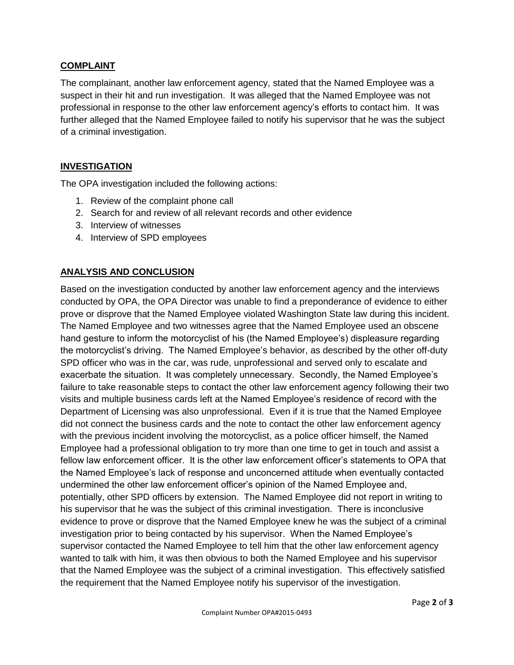## **COMPLAINT**

The complainant, another law enforcement agency, stated that the Named Employee was a suspect in their hit and run investigation. It was alleged that the Named Employee was not professional in response to the other law enforcement agency's efforts to contact him. It was further alleged that the Named Employee failed to notify his supervisor that he was the subject of a criminal investigation.

## **INVESTIGATION**

The OPA investigation included the following actions:

- 1. Review of the complaint phone call
- 2. Search for and review of all relevant records and other evidence
- 3. Interview of witnesses
- 4. Interview of SPD employees

# **ANALYSIS AND CONCLUSION**

Based on the investigation conducted by another law enforcement agency and the interviews conducted by OPA, the OPA Director was unable to find a preponderance of evidence to either prove or disprove that the Named Employee violated Washington State law during this incident. The Named Employee and two witnesses agree that the Named Employee used an obscene hand gesture to inform the motorcyclist of his (the Named Employee's) displeasure regarding the motorcyclist's driving. The Named Employee's behavior, as described by the other off-duty SPD officer who was in the car, was rude, unprofessional and served only to escalate and exacerbate the situation. It was completely unnecessary. Secondly, the Named Employee's failure to take reasonable steps to contact the other law enforcement agency following their two visits and multiple business cards left at the Named Employee's residence of record with the Department of Licensing was also unprofessional. Even if it is true that the Named Employee did not connect the business cards and the note to contact the other law enforcement agency with the previous incident involving the motorcyclist, as a police officer himself, the Named Employee had a professional obligation to try more than one time to get in touch and assist a fellow law enforcement officer. It is the other law enforcement officer's statements to OPA that the Named Employee's lack of response and unconcerned attitude when eventually contacted undermined the other law enforcement officer's opinion of the Named Employee and, potentially, other SPD officers by extension. The Named Employee did not report in writing to his supervisor that he was the subject of this criminal investigation. There is inconclusive evidence to prove or disprove that the Named Employee knew he was the subject of a criminal investigation prior to being contacted by his supervisor. When the Named Employee's supervisor contacted the Named Employee to tell him that the other law enforcement agency wanted to talk with him, it was then obvious to both the Named Employee and his supervisor that the Named Employee was the subject of a criminal investigation. This effectively satisfied the requirement that the Named Employee notify his supervisor of the investigation.